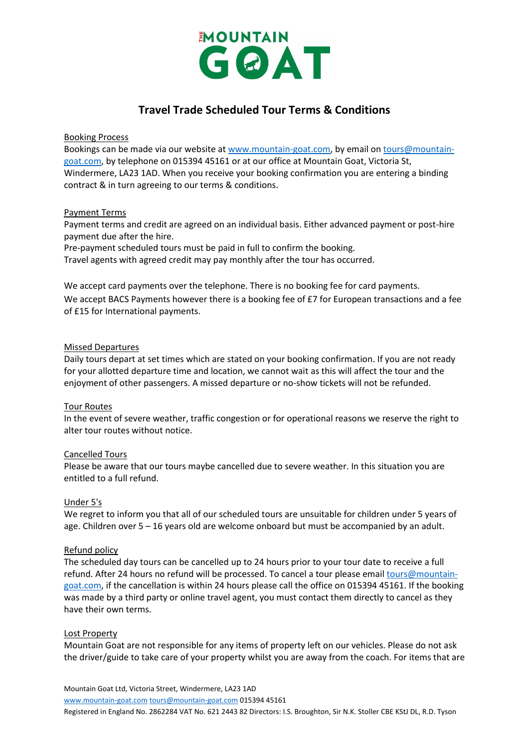

# **Travel Trade Scheduled Tour Terms & Conditions**

Booking Process

Bookings can be made via our website a[t www.mountain-goat.com,](https://www.mountain-goat.com/) by email o[n tours@mountain](mailto:tours@mountain-goat.com)[goat.com,](mailto:tours@mountain-goat.com) by telephone on 015394 45161 or at our office at Mountain Goat, Victoria St, Windermere, LA23 1AD. When you receive your booking confirmation you are entering a binding contract & in turn agreeing to our terms & conditions.

#### Payment Terms

Payment terms and credit are agreed on an individual basis. Either advanced payment or post-hire payment due after the hire.

Pre-payment scheduled tours must be paid in full to confirm the booking.

Travel agents with agreed credit may pay monthly after the tour has occurred.

We accept card payments over the telephone. There is no booking fee for card payments. We accept BACS Payments however there is a booking fee of £7 for European transactions and a fee of £15 for International payments.

#### Missed Departures

Daily tours depart at set times which are stated on your booking confirmation. If you are not ready for your allotted departure time and location, we cannot wait as this will affect the tour and the enjoyment of other passengers. A missed departure or no-show tickets will not be refunded.

# Tour Routes

In the event of severe weather, traffic congestion or for operational reasons we reserve the right to alter tour routes without notice.

# Cancelled Tours

Please be aware that our tours maybe cancelled due to severe weather. In this situation you are entitled to a full refund.

# Under 5's

We regret to inform you that all of our scheduled tours are unsuitable for children under 5 years of age. Children over 5 – 16 years old are welcome onboard but must be accompanied by an adult.

# Refund policy

The scheduled day tours can be cancelled up to 24 hours prior to your tour date to receive a full refund. After 24 hours no refund will be processed. To cancel a tour please email [tours@mountain](mailto:tours@mountain-goat.com)[goat.com,](mailto:tours@mountain-goat.com) if the cancellation is within 24 hours please call the office on 015394 45161. If the booking was made by a third party or online travel agent, you must contact them directly to cancel as they have their own terms.

# Lost Property

Mountain Goat are not responsible for any items of property left on our vehicles. Please do not ask the driver/guide to take care of your property whilst you are away from the coach. For items that are

Mountain Goat Ltd, Victoria Street, Windermere, LA23 1AD

[www.mountain-goat.com](http://www.mountain-goat.com/) [tours@mountain-goat.com](mailto:tours@mountain-goat.com) 015394 45161

Registered in England No. 2862284 VAT No. 621 2443 82 Directors: I.S. Broughton, Sir N.K. Stoller CBE KStJ DL, R.D. Tyson